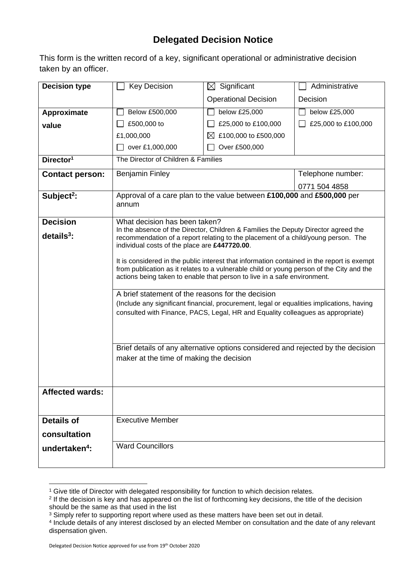## **Delegated Decision Notice**

This form is the written record of a key, significant operational or administrative decision taken by an officer.

| <b>Decision type</b>      | <b>Key Decision</b>                                                                                                                                                                                                                                                                                                                                                                                                                                                                                                                                                                                                                                                                                                                                                                                                                                                 | $\boxtimes$ Significant             | Administrative      |
|---------------------------|---------------------------------------------------------------------------------------------------------------------------------------------------------------------------------------------------------------------------------------------------------------------------------------------------------------------------------------------------------------------------------------------------------------------------------------------------------------------------------------------------------------------------------------------------------------------------------------------------------------------------------------------------------------------------------------------------------------------------------------------------------------------------------------------------------------------------------------------------------------------|-------------------------------------|---------------------|
|                           |                                                                                                                                                                                                                                                                                                                                                                                                                                                                                                                                                                                                                                                                                                                                                                                                                                                                     | <b>Operational Decision</b>         | Decision            |
| Approximate               | Below £500,000                                                                                                                                                                                                                                                                                                                                                                                                                                                                                                                                                                                                                                                                                                                                                                                                                                                      | below £25,000                       | below £25,000       |
| value                     | £500,000 to                                                                                                                                                                                                                                                                                                                                                                                                                                                                                                                                                                                                                                                                                                                                                                                                                                                         | £25,000 to £100,000                 | £25,000 to £100,000 |
|                           | £1,000,000                                                                                                                                                                                                                                                                                                                                                                                                                                                                                                                                                                                                                                                                                                                                                                                                                                                          | £100,000 to £500,000<br>$\boxtimes$ |                     |
|                           | over £1,000,000                                                                                                                                                                                                                                                                                                                                                                                                                                                                                                                                                                                                                                                                                                                                                                                                                                                     | Over £500,000                       |                     |
| Director <sup>1</sup>     | The Director of Children & Families                                                                                                                                                                                                                                                                                                                                                                                                                                                                                                                                                                                                                                                                                                                                                                                                                                 |                                     |                     |
| <b>Contact person:</b>    | <b>Benjamin Finley</b>                                                                                                                                                                                                                                                                                                                                                                                                                                                                                                                                                                                                                                                                                                                                                                                                                                              |                                     | Telephone number:   |
|                           |                                                                                                                                                                                                                                                                                                                                                                                                                                                                                                                                                                                                                                                                                                                                                                                                                                                                     |                                     | 0771 504 4858       |
| Subject <sup>2</sup> :    | Approval of a care plan to the value between £100,000 and £500,000 per<br>annum                                                                                                                                                                                                                                                                                                                                                                                                                                                                                                                                                                                                                                                                                                                                                                                     |                                     |                     |
| <b>Decision</b>           | What decision has been taken?                                                                                                                                                                                                                                                                                                                                                                                                                                                                                                                                                                                                                                                                                                                                                                                                                                       |                                     |                     |
| $details3$ :              | In the absence of the Director, Children & Families the Deputy Director agreed the<br>recommendation of a report relating to the placement of a child/young person. The<br>individual costs of the place are £447720.00.<br>It is considered in the public interest that information contained in the report is exempt<br>from publication as it relates to a vulnerable child or young person of the City and the<br>actions being taken to enable that person to live in a safe environment.<br>A brief statement of the reasons for the decision<br>(Include any significant financial, procurement, legal or equalities implications, having<br>consulted with Finance, PACS, Legal, HR and Equality colleagues as appropriate)<br>Brief details of any alternative options considered and rejected by the decision<br>maker at the time of making the decision |                                     |                     |
| <b>Affected wards:</b>    |                                                                                                                                                                                                                                                                                                                                                                                                                                                                                                                                                                                                                                                                                                                                                                                                                                                                     |                                     |                     |
| <b>Details of</b>         | <b>Executive Member</b>                                                                                                                                                                                                                                                                                                                                                                                                                                                                                                                                                                                                                                                                                                                                                                                                                                             |                                     |                     |
| consultation              |                                                                                                                                                                                                                                                                                                                                                                                                                                                                                                                                                                                                                                                                                                                                                                                                                                                                     |                                     |                     |
| undertaken <sup>4</sup> : | <b>Ward Councillors</b>                                                                                                                                                                                                                                                                                                                                                                                                                                                                                                                                                                                                                                                                                                                                                                                                                                             |                                     |                     |
|                           |                                                                                                                                                                                                                                                                                                                                                                                                                                                                                                                                                                                                                                                                                                                                                                                                                                                                     |                                     |                     |

<sup>&</sup>lt;sup>1</sup> Give title of Director with delegated responsibility for function to which decision relates.

<sup>2</sup> If the decision is key and has appeared on the list of forthcoming key decisions, the title of the decision should be the same as that used in the list

<sup>&</sup>lt;sup>3</sup> Simply refer to supporting report where used as these matters have been set out in detail.

<sup>4</sup> Include details of any interest disclosed by an elected Member on consultation and the date of any relevant dispensation given.